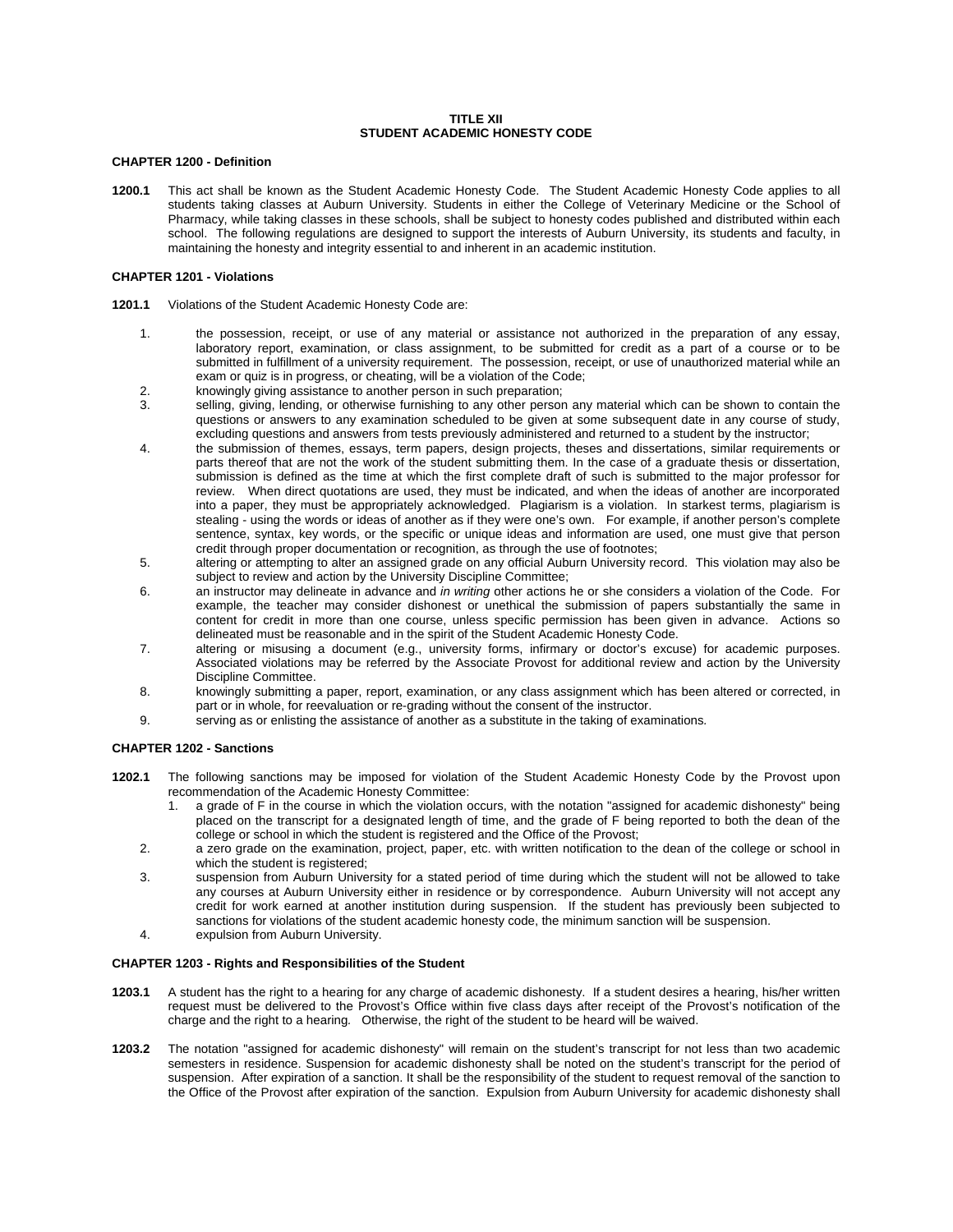### **TITLE XII STUDENT ACADEMIC HONESTY CODE**

# **CHAPTER 1200 - Definition**

**1200.1** This act shall be known as the Student Academic Honesty Code. The Student Academic Honesty Code applies to all students taking classes at Auburn University. Students in either the College of Veterinary Medicine or the School of Pharmacy, while taking classes in these schools, shall be subject to honesty codes published and distributed within each school. The following regulations are designed to support the interests of Auburn University, its students and faculty, in maintaining the honesty and integrity essential to and inherent in an academic institution.

#### **CHAPTER 1201 - Violations**

- **1201.1** Violations of the Student Academic Honesty Code are:
	- 1. the possession, receipt, or use of any material or assistance not authorized in the preparation of any essay, laboratory report, examination, or class assignment, to be submitted for credit as a part of a course or to be submitted in fulfillment of a university requirement. The possession, receipt, or use of unauthorized material while an exam or quiz is in progress, or cheating, will be a violation of the Code;
	- 2. knowingly giving assistance to another person in such preparation;
	- 3. selling, giving, lending, or otherwise furnishing to any other person any material which can be shown to contain the questions or answers to any examination scheduled to be given at some subsequent date in any course of study, excluding questions and answers from tests previously administered and returned to a student by the instructor;
	- 4. the submission of themes, essays, term papers, design projects, theses and dissertations, similar requirements or parts thereof that are not the work of the student submitting them. In the case of a graduate thesis or dissertation, submission is defined as the time at which the first complete draft of such is submitted to the major professor for review. When direct quotations are used, they must be indicated, and when the ideas of another are incorporated into a paper, they must be appropriately acknowledged. Plagiarism is a violation. In starkest terms, plagiarism is stealing - using the words or ideas of another as if they were one's own. For example, if another person's complete sentence, syntax, key words, or the specific or unique ideas and information are used, one must give that person credit through proper documentation or recognition, as through the use of footnotes;
	- 5. altering or attempting to alter an assigned grade on any official Auburn University record. This violation may also be subject to review and action by the University Discipline Committee;
	- 6. an instructor may delineate in advance and *in writing* other actions he or she considers a violation of the Code. For example, the teacher may consider dishonest or unethical the submission of papers substantially the same in content for credit in more than one course, unless specific permission has been given in advance. Actions so delineated must be reasonable and in the spirit of the Student Academic Honesty Code.
	- 7. altering or misusing a document (e.g., university forms, infirmary or doctor's excuse) for academic purposes. Associated violations may be referred by the Associate Provost for additional review and action by the University Discipline Committee.
	- 8. knowingly submitting a paper, report, examination, or any class assignment which has been altered or corrected, in part or in whole, for reevaluation or re-grading without the consent of the instructor.
	- 9. serving as or enlisting the assistance of another as a substitute in the taking of examinations*.*

# **CHAPTER 1202 - Sanctions**

- **1202.1** The following sanctions may be imposed for violation of the Student Academic Honesty Code by the Provost upon recommendation of the Academic Honesty Committee:
	- 1. a grade of F in the course in which the violation occurs, with the notation "assigned for academic dishonesty" being placed on the transcript for a designated length of time, and the grade of F being reported to both the dean of the college or school in which the student is registered and the Office of the Provost;
	- 2. a zero grade on the examination, project, paper, etc. with written notification to the dean of the college or school in which the student is registered;
	- 3. suspension from Auburn University for a stated period of time during which the student will not be allowed to take any courses at Auburn University either in residence or by correspondence. Auburn University will not accept any credit for work earned at another institution during suspension. If the student has previously been subjected to sanctions for violations of the student academic honesty code, the minimum sanction will be suspension.
	- 4. expulsion from Auburn University.

#### **CHAPTER 1203 - Rights and Responsibilities of the Student**

- **1203.1** A student has the right to a hearing for any charge of academic dishonesty. If a student desires a hearing, his/her written request must be delivered to the Provost's Office within five class days after receipt of the Provost's notification of the charge and the right to a hearing*.* Otherwise, the right of the student to be heard will be waived.
- **1203.2** The notation "assigned for academic dishonesty" will remain on the student's transcript for not less than two academic semesters in residence. Suspension for academic dishonesty shall be noted on the student's transcript for the period of suspension. After expiration of a sanction. It shall be the responsibility of the student to request removal of the sanction to the Office of the Provost after expiration of the sanction. Expulsion from Auburn University for academic dishonesty shall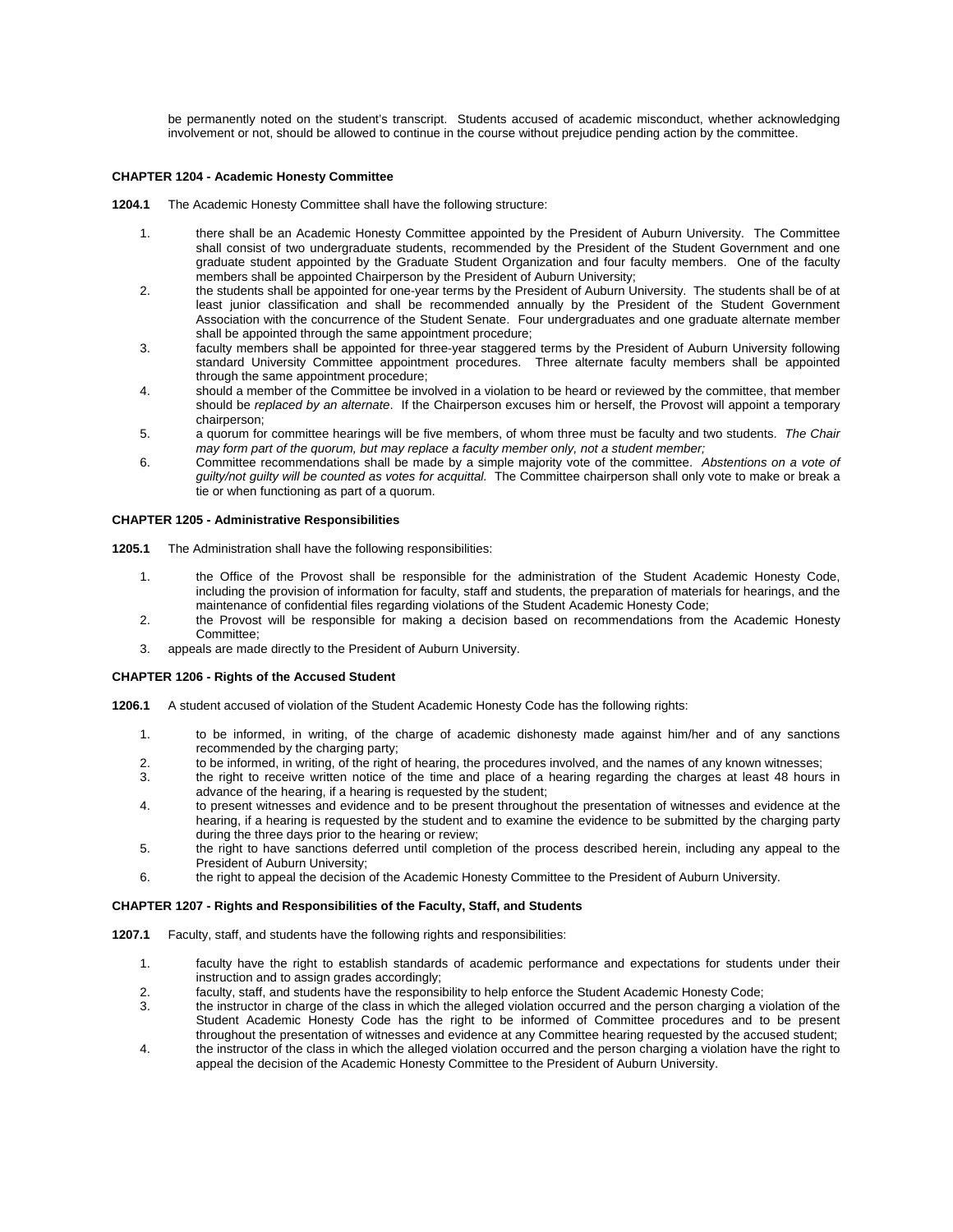be permanently noted on the student's transcript. Students accused of academic misconduct, whether acknowledging involvement or not, should be allowed to continue in the course without prejudice pending action by the committee.

# **CHAPTER 1204 - Academic Honesty Committee**

- **1204.1** The Academic Honesty Committee shall have the following structure:
	- 1. there shall be an Academic Honesty Committee appointed by the President of Auburn University. The Committee shall consist of two undergraduate students, recommended by the President of the Student Government and one graduate student appointed by the Graduate Student Organization and four faculty members. One of the faculty members shall be appointed Chairperson by the President of Auburn University;
	- 2. the students shall be appointed for one-year terms by the President of Auburn University. The students shall be of at least junior classification and shall be recommended annually by the President of the Student Government Association with the concurrence of the Student Senate. Four undergraduates and one graduate alternate member shall be appointed through the same appointment procedure;
	- 3. faculty members shall be appointed for three-year staggered terms by the President of Auburn University following standard University Committee appointment procedures. Three alternate faculty members shall be appointed through the same appointment procedure;
	- 4. should a member of the Committee be involved in a violation to be heard or reviewed by the committee, that member should be *replaced by an alternate*. If the Chairperson excuses him or herself, the Provost will appoint a temporary chairperson;
	- 5. a quorum for committee hearings will be five members, of whom three must be faculty and two students. *The Chair may form part of the quorum, but may replace a faculty member only, not a student member;*
	- 6. Committee recommendations shall be made by a simple majority vote of the committee. *Abstentions on a vote of guilty/not guilty will be counted as votes for acquittal.* The Committee chairperson shall only vote to make or break a tie or when functioning as part of a quorum.

### **CHAPTER 1205 - Administrative Responsibilities**

- **1205.1** The Administration shall have the following responsibilities:
	- 1. the Office of the Provost shall be responsible for the administration of the Student Academic Honesty Code, including the provision of information for faculty, staff and students, the preparation of materials for hearings, and the maintenance of confidential files regarding violations of the Student Academic Honesty Code;
	- 2. the Provost will be responsible for making a decision based on recommendations from the Academic Honesty Committee;
	- 3. appeals are made directly to the President of Auburn University.

# **CHAPTER 1206 - Rights of the Accused Student**

- **1206.1** A student accused of violation of the Student Academic Honesty Code has the following rights:
	- 1. to be informed, in writing, of the charge of academic dishonesty made against him/her and of any sanctions recommended by the charging party;
	- 2. to be informed, in writing, of the right of hearing, the procedures involved, and the names of any known witnesses;<br>3. the right to receive written notice of the time and place of a hearing regarding the charges at leas
	- the right to receive written notice of the time and place of a hearing regarding the charges at least 48 hours in advance of the hearing, if a hearing is requested by the student;
	- 4. to present witnesses and evidence and to be present throughout the presentation of witnesses and evidence at the hearing, if a hearing is requested by the student and to examine the evidence to be submitted by the charging party during the three days prior to the hearing or review;
	- 5. the right to have sanctions deferred until completion of the process described herein, including any appeal to the President of Auburn University;
	- 6. the right to appeal the decision of the Academic Honesty Committee to the President of Auburn University.

#### **CHAPTER 1207 - Rights and Responsibilities of the Faculty, Staff, and Students**

- **1207.1** Faculty, staff, and students have the following rights and responsibilities:
	- 1. faculty have the right to establish standards of academic performance and expectations for students under their instruction and to assign grades accordingly;
	- 2. faculty, staff, and students have the responsibility to help enforce the Student Academic Honesty Code;
	- 3. the instructor in charge of the class in which the alleged violation occurred and the person charging a violation of the Student Academic Honesty Code has the right to be informed of Committee procedures and to be present throughout the presentation of witnesses and evidence at any Committee hearing requested by the accused student;
	- 4. the instructor of the class in which the alleged violation occurred and the person charging a violation have the right to appeal the decision of the Academic Honesty Committee to the President of Auburn University.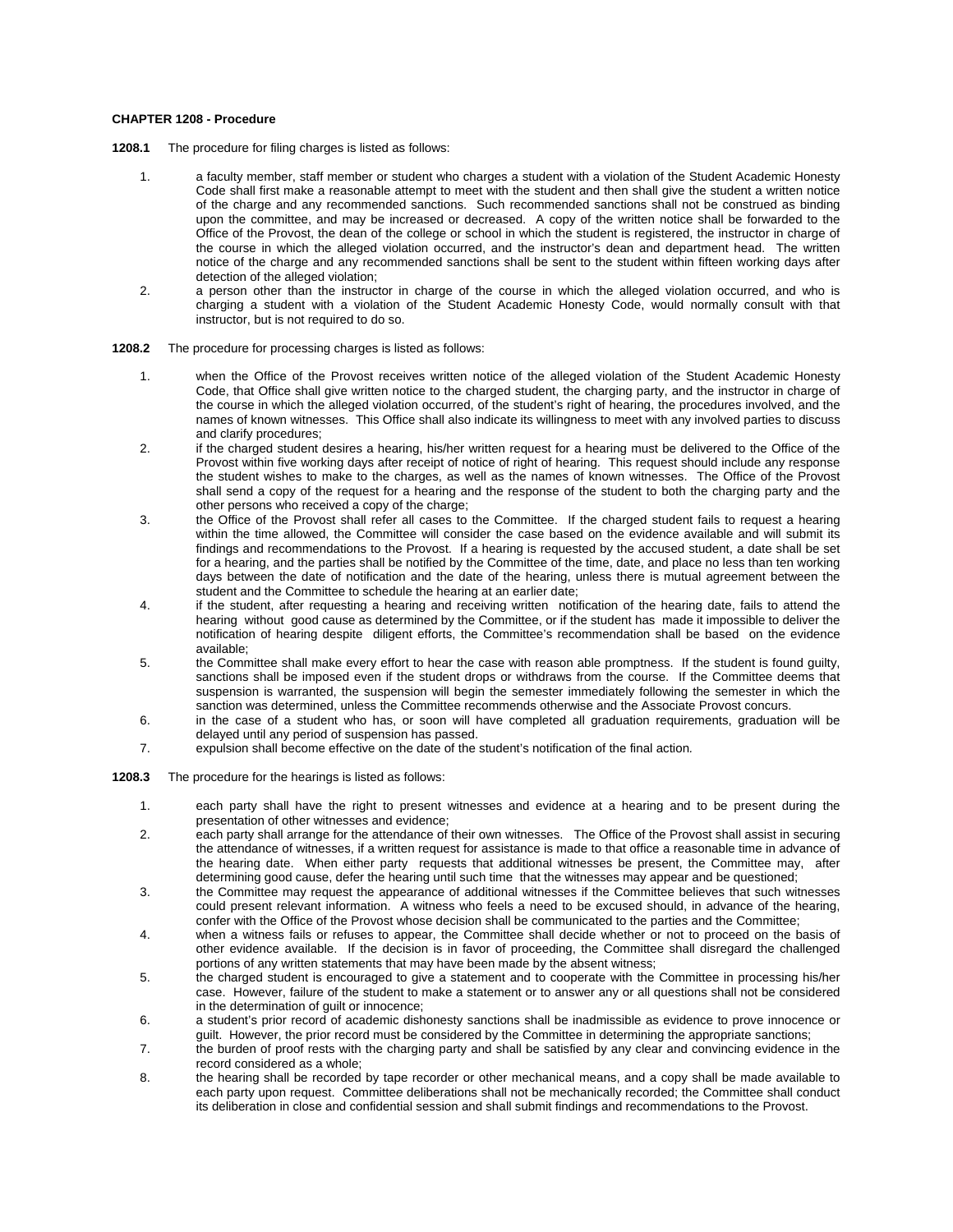# **CHAPTER 1208 - Procedure**

- **1208.1** The procedure for filing charges is listed as follows:
	- 1. a faculty member, staff member or student who charges a student with a violation of the Student Academic Honesty Code shall first make a reasonable attempt to meet with the student and then shall give the student a written notice of the charge and any recommended sanctions. Such recommended sanctions shall not be construed as binding upon the committee, and may be increased or decreased. A copy of the written notice shall be forwarded to the Office of the Provost, the dean of the college or school in which the student is registered, the instructor in charge of the course in which the alleged violation occurred, and the instructor's dean and department head. The written notice of the charge and any recommended sanctions shall be sent to the student within fifteen working days after detection of the alleged violation;
	- 2. a person other than the instructor in charge of the course in which the alleged violation occurred, and who is charging a student with a violation of the Student Academic Honesty Code, would normally consult with that instructor, but is not required to do so.
- **1208.2** The procedure for processing charges is listed as follows:
	- 1. when the Office of the Provost receives written notice of the alleged violation of the Student Academic Honesty Code, that Office shall give written notice to the charged student, the charging party, and the instructor in charge of the course in which the alleged violation occurred, of the student's right of hearing, the procedures involved, and the names of known witnesses. This Office shall also indicate its willingness to meet with any involved parties to discuss and clarify procedures;
	- 2. if the charged student desires a hearing, his/her written request for a hearing must be delivered to the Office of the Provost within five working days after receipt of notice of right of hearing. This request should include any response the student wishes to make to the charges, as well as the names of known witnesses. The Office of the Provost shall send a copy of the request for a hearing and the response of the student to both the charging party and the other persons who received a copy of the charge;
	- 3. the Office of the Provost shall refer all cases to the Committee. If the charged student fails to request a hearing within the time allowed, the Committee will consider the case based on the evidence available and will submit its findings and recommendations to the Provost. If a hearing is requested by the accused student, a date shall be set for a hearing, and the parties shall be notified by the Committee of the time, date, and place no less than ten working days between the date of notification and the date of the hearing, unless there is mutual agreement between the student and the Committee to schedule the hearing at an earlier date;
	- 4. if the student, after requesting a hearing and receiving written notification of the hearing date, fails to attend the hearing without good cause as determined by the Committee, or if the student has made it impossible to deliver the notification of hearing despite diligent efforts, the Committee's recommendation shall be based on the evidence available;
	- 5. the Committee shall make every effort to hear the case with reason able promptness. If the student is found guilty, sanctions shall be imposed even if the student drops or withdraws from the course. If the Committee deems that suspension is warranted, the suspension will begin the semester immediately following the semester in which the sanction was determined, unless the Committee recommends otherwise and the Associate Provost concurs.
	- 6. in the case of a student who has, or soon will have completed all graduation requirements, graduation will be delayed until any period of suspension has passed.
	- 7. expulsion shall become effective on the date of the student's notification of the final action*.*
- **1208.3** The procedure for the hearings is listed as follows:
	- 1. each party shall have the right to present witnesses and evidence at a hearing and to be present during the presentation of other witnesses and evidence;
	- 2. each party shall arrange for the attendance of their own witnesses. The Office of the Provost shall assist in securing the attendance of witnesses, if a written request for assistance is made to that office a reasonable time in advance of the hearing date. When either party requests that additional witnesses be present, the Committee may, after determining good cause, defer the hearing until such time that the witnesses may appear and be questioned;
	- 3. the Committee may request the appearance of additional witnesses if the Committee believes that such witnesses could present relevant information. A witness who feels a need to be excused should, in advance of the hearing, confer with the Office of the Provost whose decision shall be communicated to the parties and the Committee;
	- 4. when a witness fails or refuses to appear, the Committee shall decide whether or not to proceed on the basis of other evidence available. If the decision is in favor of proceeding, the Committee shall disregard the challenged portions of any written statements that may have been made by the absent witness;
	- 5. the charged student is encouraged to give a statement and to cooperate with the Committee in processing his/her case. However, failure of the student to make a statement or to answer any or all questions shall not be considered in the determination of guilt or innocence;
	- 6. a student's prior record of academic dishonesty sanctions shall be inadmissible as evidence to prove innocence or guilt. However, the prior record must be considered by the Committee in determining the appropriate sanctions;
	- 7. the burden of proof rests with the charging party and shall be satisfied by any clear and convincing evidence in the record considered as a whole;
	- 8. the hearing shall be recorded by tape recorder or other mechanical means, and a copy shall be made available to each party upon request. Committe*e* deliberations shall not be mechanically recorded; the Committee shall conduct its deliberation in close and confidential session and shall submit findings and recommendations to the Provost.